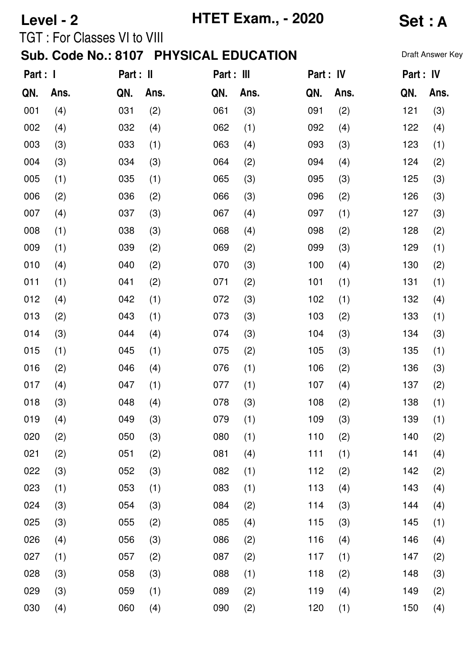|                                                                 | Level - 2 |                                    |            |            | <b>HTET Exam., - 2020</b> | <b>Set: A</b> |      |            |                  |
|-----------------------------------------------------------------|-----------|------------------------------------|------------|------------|---------------------------|---------------|------|------------|------------------|
|                                                                 |           | <b>TGT: For Classes VI to VIII</b> |            |            |                           |               |      |            | Draft Answer Key |
| Sub. Code No.: 8107 PHYSICAL EDUCATION<br>Part : I<br>Part : II |           |                                    | Part : III |            | Part : IV                 | Part : IV     |      |            |                  |
|                                                                 | Ans.      |                                    | Ans.       |            | Ans.                      |               | Ans. |            | Ans.             |
| QN.<br>001                                                      | (4)       | QN.<br>031                         | (2)        | QN.<br>061 | (3)                       | QN.<br>091    | (2)  | QN.<br>121 | (3)              |
| 002                                                             | (4)       | 032                                | (4)        | 062        | (1)                       | 092           | (4)  | 122        | (4)              |
| 003                                                             | (3)       | 033                                | (1)        | 063        | (4)                       | 093           | (3)  | 123        | (1)              |
| 004                                                             | (3)       | 034                                | (3)        | 064        | (2)                       | 094           | (4)  | 124        | (2)              |
| 005                                                             | (1)       | 035                                | (1)        | 065        | (3)                       | 095           | (3)  | 125        | (3)              |
| 006                                                             | (2)       | 036                                | (2)        | 066        | (3)                       | 096           | (2)  | 126        | (3)              |
| 007                                                             | (4)       | 037                                | (3)        | 067        | (4)                       | 097           | (1)  | 127        | (3)              |
| 008                                                             | (1)       | 038                                | (3)        | 068        | (4)                       | 098           | (2)  | 128        | (2)              |
| 009                                                             | (1)       | 039                                | (2)        | 069        | (2)                       | 099           | (3)  | 129        | (1)              |
| 010                                                             | (4)       | 040                                | (2)        | 070        | (3)                       | 100           | (4)  | 130        | (2)              |
| 011                                                             | (1)       | 041                                | (2)        | 071        | (2)                       | 101           | (1)  | 131        | (1)              |
| 012                                                             | (4)       | 042                                | (1)        | 072        | (3)                       | 102           | (1)  | 132        | (4)              |
| 013                                                             | (2)       | 043                                | (1)        | 073        | (3)                       | 103           | (2)  | 133        | (1)              |
| 014                                                             | (3)       | 044                                | (4)        | 074        | (3)                       | 104           | (3)  | 134        | (3)              |
| 015                                                             | (1)       | 045                                | (1)        | 075        | (2)                       | 105           | (3)  | 135        | (1)              |
| 016                                                             | (2)       | 046                                | (4)        | 076        | (1)                       | 106           | (2)  | 136        | (3)              |
| 017                                                             | (4)       | 047                                | (1)        | 077        | (1)                       | 107           | (4)  | 137        | (2)              |
| 018                                                             | (3)       | 048                                | (4)        | 078        | (3)                       | 108           | (2)  | 138        | (1)              |
| 019                                                             | (4)       | 049                                | (3)        | 079        | (1)                       | 109           | (3)  | 139        | (1)              |
| 020                                                             | (2)       | 050                                | (3)        | 080        | (1)                       | 110           | (2)  | 140        | (2)              |
| 021                                                             | (2)       | 051                                | (2)        | 081        | (4)                       | 111           | (1)  | 141        | (4)              |
| 022                                                             | (3)       | 052                                | (3)        | 082        | (1)                       | 112           | (2)  | 142        | (2)              |
| 023                                                             | (1)       | 053                                | (1)        | 083        | (1)                       | 113           | (4)  | 143        | (4)              |
| 024                                                             | (3)       | 054                                | (3)        | 084        | (2)                       | 114           | (3)  | 144        | (4)              |
| 025                                                             | (3)       | 055                                | (2)        | 085        | (4)                       | 115           | (3)  | 145        | (1)              |
| 026                                                             | (4)       | 056                                | (3)        | 086        | (2)                       | 116           | (4)  | 146        | (4)              |
| 027                                                             | (1)       | 057                                | (2)        | 087        | (2)                       | 117           | (1)  | 147        | (2)              |
| 028                                                             | (3)       | 058                                | (3)        | 088        | (1)                       | 118           | (2)  | 148        | (3)              |
| 029                                                             | (3)       | 059                                | (1)        | 089        | (2)                       | 119           | (4)  | 149        | (2)              |
| 030                                                             | (4)       | 060                                | (4)        | 090        | (2)                       | 120           | (1)  | 150        | (4)              |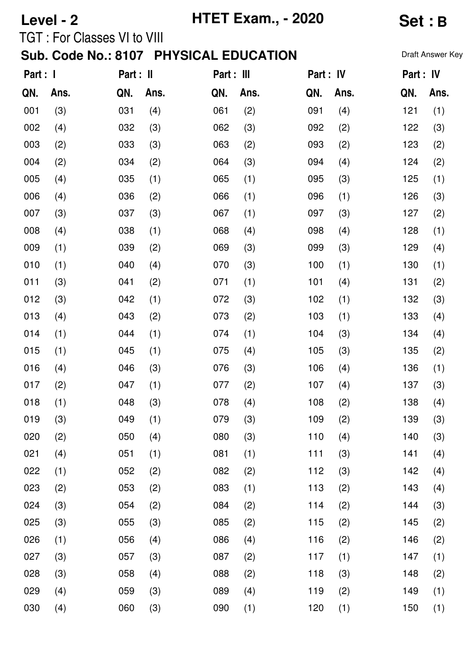|                                                                 | Level - 2 |                                    |            |     | <b>HTET Exam., - 2020</b> |           |      |     | <b>Set:B</b>     |  |  |
|-----------------------------------------------------------------|-----------|------------------------------------|------------|-----|---------------------------|-----------|------|-----|------------------|--|--|
|                                                                 |           | <b>TGT: For Classes VI to VIII</b> |            |     |                           |           |      |     | Draft Answer Key |  |  |
| Sub. Code No.: 8107 PHYSICAL EDUCATION<br>Part : I<br>Part : II |           |                                    | Part : III |     | Part : IV                 | Part : IV |      |     |                  |  |  |
| QN.                                                             | Ans.      | QN.                                | Ans.       | QN. | Ans.                      | QN.       | Ans. | QN. | Ans.             |  |  |
| 001                                                             | (3)       | 031                                | (4)        | 061 | (2)                       | 091       | (4)  | 121 | (1)              |  |  |
| 002                                                             | (4)       | 032                                | (3)        | 062 | (3)                       | 092       | (2)  | 122 | (3)              |  |  |
| 003                                                             | (2)       | 033                                | (3)        | 063 | (2)                       | 093       | (2)  | 123 | (2)              |  |  |
| 004                                                             | (2)       | 034                                | (2)        | 064 | (3)                       | 094       | (4)  | 124 | (2)              |  |  |
| 005                                                             | (4)       | 035                                | (1)        | 065 | (1)                       | 095       | (3)  | 125 | (1)              |  |  |
| 006                                                             | (4)       | 036                                | (2)        | 066 | (1)                       | 096       | (1)  | 126 | (3)              |  |  |
| 007                                                             | (3)       | 037                                | (3)        | 067 | (1)                       | 097       | (3)  | 127 | (2)              |  |  |
| 008                                                             | (4)       | 038                                | (1)        | 068 | (4)                       | 098       | (4)  | 128 | (1)              |  |  |
| 009                                                             | (1)       | 039                                | (2)        | 069 | (3)                       | 099       | (3)  | 129 | (4)              |  |  |
| 010                                                             | (1)       | 040                                | (4)        | 070 | (3)                       | 100       | (1)  | 130 | (1)              |  |  |
| 011                                                             | (3)       | 041                                | (2)        | 071 | (1)                       | 101       | (4)  | 131 | (2)              |  |  |
| 012                                                             | (3)       | 042                                | (1)        | 072 | (3)                       | 102       | (1)  | 132 | (3)              |  |  |
| 013                                                             | (4)       | 043                                | (2)        | 073 | (2)                       | 103       | (1)  | 133 | (4)              |  |  |
| 014                                                             | (1)       | 044                                | (1)        | 074 | (1)                       | 104       | (3)  | 134 | (4)              |  |  |
| 015                                                             | (1)       | 045                                | (1)        | 075 | (4)                       | 105       | (3)  | 135 | (2)              |  |  |
| 016                                                             | (4)       | 046                                | (3)        | 076 | (3)                       | 106       | (4)  | 136 | (1)              |  |  |
| 017                                                             | (2)       | 047                                | (1)        | 077 | (2)                       | 107       | (4)  | 137 | (3)              |  |  |
| 018                                                             | (1)       | 048                                | (3)        | 078 | (4)                       | 108       | (2)  | 138 | (4)              |  |  |
| 019                                                             | (3)       | 049                                | (1)        | 079 | (3)                       | 109       | (2)  | 139 | (3)              |  |  |
| 020                                                             | (2)       | 050                                | (4)        | 080 | (3)                       | 110       | (4)  | 140 | (3)              |  |  |
| 021                                                             | (4)       | 051                                | (1)        | 081 | (1)                       | 111       | (3)  | 141 | (4)              |  |  |
| 022                                                             | (1)       | 052                                | (2)        | 082 | (2)                       | 112       | (3)  | 142 | (4)              |  |  |
| 023                                                             | (2)       | 053                                | (2)        | 083 | (1)                       | 113       | (2)  | 143 | (4)              |  |  |
| 024                                                             | (3)       | 054                                | (2)        | 084 | (2)                       | 114       | (2)  | 144 | (3)              |  |  |
| 025                                                             | (3)       | 055                                | (3)        | 085 | (2)                       | 115       | (2)  | 145 | (2)              |  |  |
| 026                                                             | (1)       | 056                                | (4)        | 086 | (4)                       | 116       | (2)  | 146 | (2)              |  |  |
| 027                                                             | (3)       | 057                                | (3)        | 087 | (2)                       | 117       | (1)  | 147 | (1)              |  |  |
| 028                                                             | (3)       | 058                                | (4)        | 088 | (2)                       | 118       | (3)  | 148 | (2)              |  |  |
| 029                                                             | (4)       | 059                                | (3)        | 089 | (4)                       | 119       | (2)  | 149 | (1)              |  |  |
| 030                                                             | (4)       | 060                                | (3)        | 090 | (1)                       | 120       | (1)  | 150 | (1)              |  |  |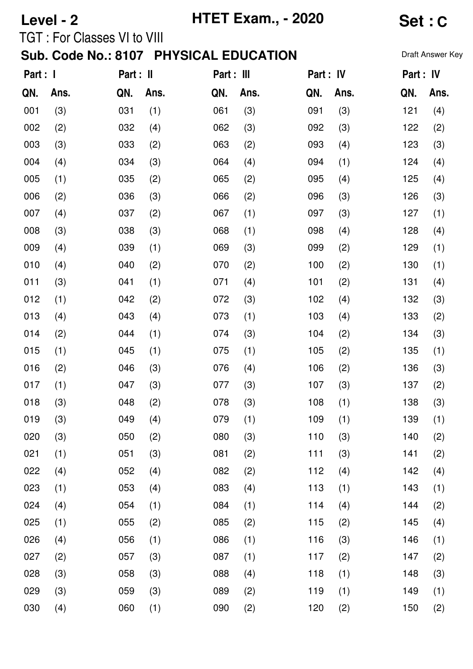|                       | Level - 2 |                                    |      |     | <b>HTET Exam., - 2020</b>                                                                                                                                                                                                                                                                                                                                                                                                                                                                                                                                                                                                                                                                                                                                                                                                                                                                                                                                                                                                                                                                                                                                                                                            |  |  |  | Set : C |  |  |
|-----------------------|-----------|------------------------------------|------|-----|----------------------------------------------------------------------------------------------------------------------------------------------------------------------------------------------------------------------------------------------------------------------------------------------------------------------------------------------------------------------------------------------------------------------------------------------------------------------------------------------------------------------------------------------------------------------------------------------------------------------------------------------------------------------------------------------------------------------------------------------------------------------------------------------------------------------------------------------------------------------------------------------------------------------------------------------------------------------------------------------------------------------------------------------------------------------------------------------------------------------------------------------------------------------------------------------------------------------|--|--|--|---------|--|--|
|                       |           | <b>TGT: For Classes VI to VIII</b> |      |     | Sub. Code No.: 8107 PHYSICAL EDUCATION<br>Draft Answer Key<br>Part : IV<br>Part : IV<br>Ans.<br>Ans.<br>Ans.<br>QN.<br>QN.<br>(3)<br>(3)<br>091<br>121<br>(4)<br>(3)<br>092<br>122<br>(3)<br>(2)<br>(2)<br>093<br>123<br>(3)<br>(4)<br>(4)<br>094<br>(1)<br>124<br>(4)<br>(2)<br>125<br>(4)<br>095<br>(4)<br>(2)<br>(3)<br>126<br>(3)<br>096<br>(1)<br>097<br>(3)<br>127<br>(1)<br>(1)<br>098<br>128<br>(4)<br>(4)<br>(3)<br>099<br>(2)<br>129<br>(1)<br>(2)<br>100<br>(2)<br>(1)<br>130<br>101<br>(2)<br>131<br>(4)<br>(4)<br>(3)<br>102<br>132<br>(3)<br>(4)<br>103<br>133<br>(1)<br>(4)<br>(2)<br>(3)<br>104<br>(3)<br>(2)<br>134<br>(1)<br>105<br>(2)<br>135<br>(1)<br>(2)<br>136<br>(3)<br>(4)<br>106<br>(3)<br>107<br>(3)<br>137<br>(2)<br>(3)<br>108<br>(1)<br>138<br>(3)<br>109<br>(1)<br>(1)<br>(1)<br>139<br>(3)<br>110<br>(3)<br>140<br>(2)<br>111<br>141<br>(2)<br>(2)<br>(3)<br>112<br>(4)<br>142<br>(4)<br>(2)<br>113<br>(1)<br>143<br>(1)<br>(4)<br>114<br>(2)<br>(1)<br>(4)<br>144<br>115<br>145<br>(4)<br>(2)<br>(2)<br>116<br>146<br>(1)<br>(1)<br>(3)<br>(1)<br>(2)<br>117<br>(2)<br>147<br>118<br>(1)<br>148<br>(3)<br>(4)<br>(1)<br>(1)<br>(2)<br>119<br>149<br>(2)<br>120<br>(2)<br>150<br>(2) |  |  |  |         |  |  |
| Part : I<br>Part : II |           | Part : III                         |      |     |                                                                                                                                                                                                                                                                                                                                                                                                                                                                                                                                                                                                                                                                                                                                                                                                                                                                                                                                                                                                                                                                                                                                                                                                                      |  |  |  |         |  |  |
| QN.                   | Ans.      | QN.                                | Ans. | QN. |                                                                                                                                                                                                                                                                                                                                                                                                                                                                                                                                                                                                                                                                                                                                                                                                                                                                                                                                                                                                                                                                                                                                                                                                                      |  |  |  |         |  |  |
| 001                   | (3)       | 031                                | (1)  | 061 |                                                                                                                                                                                                                                                                                                                                                                                                                                                                                                                                                                                                                                                                                                                                                                                                                                                                                                                                                                                                                                                                                                                                                                                                                      |  |  |  |         |  |  |
| 002                   | (2)       | 032                                | (4)  | 062 |                                                                                                                                                                                                                                                                                                                                                                                                                                                                                                                                                                                                                                                                                                                                                                                                                                                                                                                                                                                                                                                                                                                                                                                                                      |  |  |  |         |  |  |
| 003                   | (3)       | 033                                | (2)  | 063 |                                                                                                                                                                                                                                                                                                                                                                                                                                                                                                                                                                                                                                                                                                                                                                                                                                                                                                                                                                                                                                                                                                                                                                                                                      |  |  |  |         |  |  |
| 004                   | (4)       | 034                                | (3)  | 064 |                                                                                                                                                                                                                                                                                                                                                                                                                                                                                                                                                                                                                                                                                                                                                                                                                                                                                                                                                                                                                                                                                                                                                                                                                      |  |  |  |         |  |  |
| 005                   | (1)       | 035                                | (2)  | 065 |                                                                                                                                                                                                                                                                                                                                                                                                                                                                                                                                                                                                                                                                                                                                                                                                                                                                                                                                                                                                                                                                                                                                                                                                                      |  |  |  |         |  |  |
| 006                   | (2)       | 036                                | (3)  | 066 |                                                                                                                                                                                                                                                                                                                                                                                                                                                                                                                                                                                                                                                                                                                                                                                                                                                                                                                                                                                                                                                                                                                                                                                                                      |  |  |  |         |  |  |
| 007                   | (4)       | 037                                | (2)  | 067 |                                                                                                                                                                                                                                                                                                                                                                                                                                                                                                                                                                                                                                                                                                                                                                                                                                                                                                                                                                                                                                                                                                                                                                                                                      |  |  |  |         |  |  |
| 008                   | (3)       | 038                                | (3)  | 068 |                                                                                                                                                                                                                                                                                                                                                                                                                                                                                                                                                                                                                                                                                                                                                                                                                                                                                                                                                                                                                                                                                                                                                                                                                      |  |  |  |         |  |  |
| 009                   | (4)       | 039                                | (1)  | 069 |                                                                                                                                                                                                                                                                                                                                                                                                                                                                                                                                                                                                                                                                                                                                                                                                                                                                                                                                                                                                                                                                                                                                                                                                                      |  |  |  |         |  |  |
| 010                   | (4)       | 040                                | (2)  | 070 |                                                                                                                                                                                                                                                                                                                                                                                                                                                                                                                                                                                                                                                                                                                                                                                                                                                                                                                                                                                                                                                                                                                                                                                                                      |  |  |  |         |  |  |
| 011                   | (3)       | 041                                | (1)  | 071 |                                                                                                                                                                                                                                                                                                                                                                                                                                                                                                                                                                                                                                                                                                                                                                                                                                                                                                                                                                                                                                                                                                                                                                                                                      |  |  |  |         |  |  |
| 012                   | (1)       | 042                                | (2)  | 072 |                                                                                                                                                                                                                                                                                                                                                                                                                                                                                                                                                                                                                                                                                                                                                                                                                                                                                                                                                                                                                                                                                                                                                                                                                      |  |  |  |         |  |  |
| 013                   | (4)       | 043                                | (4)  | 073 |                                                                                                                                                                                                                                                                                                                                                                                                                                                                                                                                                                                                                                                                                                                                                                                                                                                                                                                                                                                                                                                                                                                                                                                                                      |  |  |  |         |  |  |
| 014                   | (2)       | 044                                | (1)  | 074 |                                                                                                                                                                                                                                                                                                                                                                                                                                                                                                                                                                                                                                                                                                                                                                                                                                                                                                                                                                                                                                                                                                                                                                                                                      |  |  |  |         |  |  |
| 015                   | (1)       | 045                                | (1)  | 075 |                                                                                                                                                                                                                                                                                                                                                                                                                                                                                                                                                                                                                                                                                                                                                                                                                                                                                                                                                                                                                                                                                                                                                                                                                      |  |  |  |         |  |  |
| 016                   | (2)       | 046                                | (3)  | 076 |                                                                                                                                                                                                                                                                                                                                                                                                                                                                                                                                                                                                                                                                                                                                                                                                                                                                                                                                                                                                                                                                                                                                                                                                                      |  |  |  |         |  |  |
| 017                   | (1)       | 047                                | (3)  | 077 |                                                                                                                                                                                                                                                                                                                                                                                                                                                                                                                                                                                                                                                                                                                                                                                                                                                                                                                                                                                                                                                                                                                                                                                                                      |  |  |  |         |  |  |
| 018                   | (3)       | 048                                | (2)  | 078 |                                                                                                                                                                                                                                                                                                                                                                                                                                                                                                                                                                                                                                                                                                                                                                                                                                                                                                                                                                                                                                                                                                                                                                                                                      |  |  |  |         |  |  |
| 019                   | (3)       | 049                                | (4)  | 079 |                                                                                                                                                                                                                                                                                                                                                                                                                                                                                                                                                                                                                                                                                                                                                                                                                                                                                                                                                                                                                                                                                                                                                                                                                      |  |  |  |         |  |  |
| 020                   | (3)       | 050                                | (2)  | 080 |                                                                                                                                                                                                                                                                                                                                                                                                                                                                                                                                                                                                                                                                                                                                                                                                                                                                                                                                                                                                                                                                                                                                                                                                                      |  |  |  |         |  |  |
| 021                   | (1)       | 051                                | (3)  | 081 |                                                                                                                                                                                                                                                                                                                                                                                                                                                                                                                                                                                                                                                                                                                                                                                                                                                                                                                                                                                                                                                                                                                                                                                                                      |  |  |  |         |  |  |
| 022                   | (4)       | 052                                | (4)  | 082 |                                                                                                                                                                                                                                                                                                                                                                                                                                                                                                                                                                                                                                                                                                                                                                                                                                                                                                                                                                                                                                                                                                                                                                                                                      |  |  |  |         |  |  |
| 023                   | (1)       | 053                                | (4)  | 083 |                                                                                                                                                                                                                                                                                                                                                                                                                                                                                                                                                                                                                                                                                                                                                                                                                                                                                                                                                                                                                                                                                                                                                                                                                      |  |  |  |         |  |  |
| 024                   | (4)       | 054                                | (1)  | 084 |                                                                                                                                                                                                                                                                                                                                                                                                                                                                                                                                                                                                                                                                                                                                                                                                                                                                                                                                                                                                                                                                                                                                                                                                                      |  |  |  |         |  |  |
| 025                   | (1)       | 055                                | (2)  | 085 |                                                                                                                                                                                                                                                                                                                                                                                                                                                                                                                                                                                                                                                                                                                                                                                                                                                                                                                                                                                                                                                                                                                                                                                                                      |  |  |  |         |  |  |
| 026                   | (4)       | 056                                | (1)  | 086 |                                                                                                                                                                                                                                                                                                                                                                                                                                                                                                                                                                                                                                                                                                                                                                                                                                                                                                                                                                                                                                                                                                                                                                                                                      |  |  |  |         |  |  |
| 027                   | (2)       | 057                                | (3)  | 087 |                                                                                                                                                                                                                                                                                                                                                                                                                                                                                                                                                                                                                                                                                                                                                                                                                                                                                                                                                                                                                                                                                                                                                                                                                      |  |  |  |         |  |  |
| 028                   | (3)       | 058                                | (3)  | 088 |                                                                                                                                                                                                                                                                                                                                                                                                                                                                                                                                                                                                                                                                                                                                                                                                                                                                                                                                                                                                                                                                                                                                                                                                                      |  |  |  |         |  |  |
| 029                   | (3)       | 059                                | (3)  | 089 |                                                                                                                                                                                                                                                                                                                                                                                                                                                                                                                                                                                                                                                                                                                                                                                                                                                                                                                                                                                                                                                                                                                                                                                                                      |  |  |  |         |  |  |
| 030                   | (4)       | 060                                | (1)  | 090 |                                                                                                                                                                                                                                                                                                                                                                                                                                                                                                                                                                                                                                                                                                                                                                                                                                                                                                                                                                                                                                                                                                                                                                                                                      |  |  |  |         |  |  |